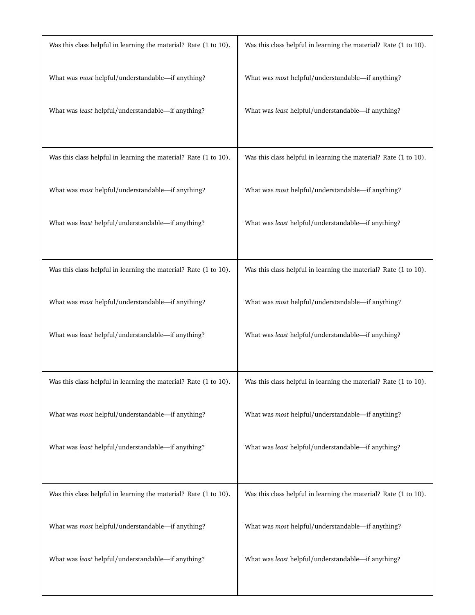| Was this class helpful in learning the material? Rate (1 to 10). | Was this class helpful in learning the material? Rate (1 to 10). |
|------------------------------------------------------------------|------------------------------------------------------------------|
| What was most helpful/understandable-if anything?                | What was most helpful/understandable-if anything?                |
| What was least helpful/understandable-if anything?               | What was least helpful/understandable-if anything?               |
|                                                                  |                                                                  |
| Was this class helpful in learning the material? Rate (1 to 10). | Was this class helpful in learning the material? Rate (1 to 10). |
| What was most helpful/understandable-if anything?                | What was most helpful/understandable-if anything?                |
| What was least helpful/understandable-if anything?               | What was least helpful/understandable-if anything?               |
|                                                                  |                                                                  |
| Was this class helpful in learning the material? Rate (1 to 10). | Was this class helpful in learning the material? Rate (1 to 10). |
| What was most helpful/understandable-if anything?                | What was most helpful/understandable-if anything?                |
| What was least helpful/understandable-if anything?               | What was least helpful/understandable-if anything?               |
|                                                                  |                                                                  |
| Was this class helpful in learning the material? Rate (1 to 10). | Was this class helpful in learning the material? Rate (1 to 10). |
| What was most helpful/understandable-if anything?                | What was most helpful/understandable-if anything?                |
| What was least helpful/understandable-if anything?               | What was least helpful/understandable-if anything?               |
|                                                                  |                                                                  |
| Was this class helpful in learning the material? Rate (1 to 10). | Was this class helpful in learning the material? Rate (1 to 10). |
| What was most helpful/understandable-if anything?                | What was most helpful/understandable-if anything?                |
| What was least helpful/understandable-if anything?               | What was least helpful/understandable-if anything?               |
|                                                                  |                                                                  |